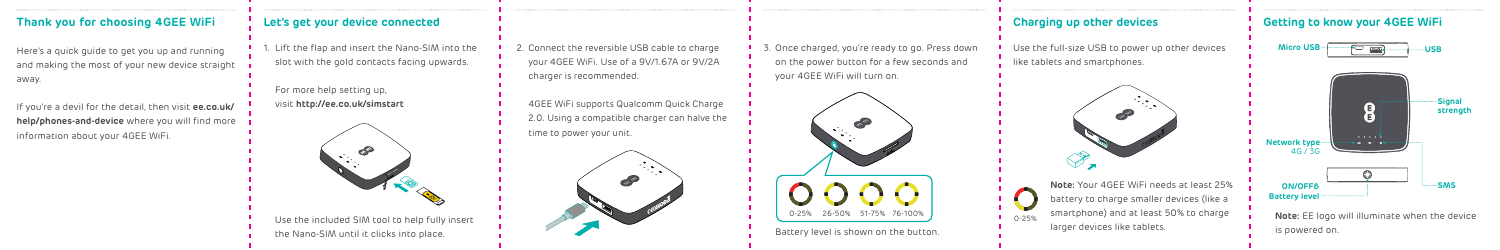## **Thank you for choosing 4GEE WiFi Let's get your device connected**

Here's a quick guide to get you up and running and making the most of your new device straight away.

If you're a devil for the detail, then visit **ee.co.uk/ help/phones-and-device** where you will find more information about your 4GEE WiFi.

1. Lift the flap and insert the Nano-SIM into the slot with the gold contacts facing upwards.

For more help setting up, visit **http://ee.co.uk/simstart**  2. Connect the reversible USB cable to charge your 4GEE WiFi. Use of a 9V/1.67A or 9V/2A charger is recommended.

> **Note:** Your 4GEE WiFi needs at least 25% battery to charge smaller devices (like a smartphone) and at least 50% to charge larger devices like tablets. 0-25% 26-50% 51-75% 76-100% **Depart on the device** in the device of the device of the device of the device of the device

4GEE WiFi supports Qualcomm Quick Charge 2.0. Using a compatible charger can halve the time to power your unit.



## **Getting to know your 4GEE WiFi**

3. Once charged, you're ready to go. Press down on the power button for a few seconds and your 4GEE WiFi will turn on.

#### **Charging up other devices**

Use the full-size USB to power up other devices like tablets and smartphones.









is powered on.